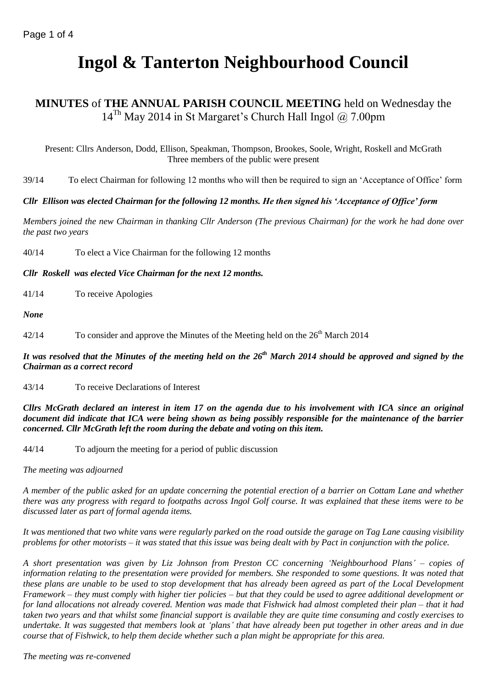# **Ingol & Tanterton Neighbourhood Council**

# **MINUTES** of **THE ANNUAL PARISH COUNCIL MEETING** held on Wednesday the  $14^{Th}$  May 2014 in St Margaret's Church Hall Ingol @ 7.00pm

Present: Cllrs Anderson, Dodd, Ellison, Speakman, Thompson, Brookes, Soole, Wright, Roskell and McGrath Three members of the public were present

39/14 To elect Chairman for following 12 months who will then be required to sign an 'Acceptance of Office' form

# *Cllr Ellison was elected Chairman for the following 12 months. He then signed his 'Acceptance of Office' form*

*Members joined the new Chairman in thanking Cllr Anderson (The previous Chairman) for the work he had done over the past two years* 

40/14 To elect a Vice Chairman for the following 12 months

*Cllr Roskell was elected Vice Chairman for the next 12 months.*

41/14 To receive Apologies

*None*

42/14 To consider and approve the Minutes of the Meeting held on the  $26<sup>th</sup>$  March 2014

# *It was resolved that the Minutes of the meeting held on the 26th March 2014 should be approved and signed by the Chairman as a correct record*

43/14 To receive Declarations of Interest

*Cllrs McGrath declared an interest in item 17 on the agenda due to his involvement with ICA since an original document did indicate that ICA were being shown as being possibly responsible for the maintenance of the barrier concerned. Cllr McGrath left the room during the debate and voting on this item.*

44/14 To adjourn the meeting for a period of public discussion

*The meeting was adjourned*

*A member of the public asked for an update concerning the potential erection of a barrier on Cottam Lane and whether there was any progress with regard to footpaths across Ingol Golf course. It was explained that these items were to be discussed later as part of formal agenda items.*

*It was mentioned that two white vans were regularly parked on the road outside the garage on Tag Lane causing visibility problems for other motorists – it was stated that this issue was being dealt with by Pact in conjunction with the police.*

*A short presentation was given by Liz Johnson from Preston CC concerning 'Neighbourhood Plans' – copies of information relating to the presentation were provided for members. She responded to some questions. It was noted that these plans are unable to be used to stop development that has already been agreed as part of the Local Development Framework – they must comply with higher tier policies – but that they could be used to agree additional development or for land allocations not already covered. Mention was made that Fishwick had almost completed their plan – that it had taken two years and that whilst some financial support is available they are quite time consuming and costly exercises to undertake. It was suggested that members look at 'plans' that have already been put together in other areas and in due course that of Fishwick, to help them decide whether such a plan might be appropriate for this area.*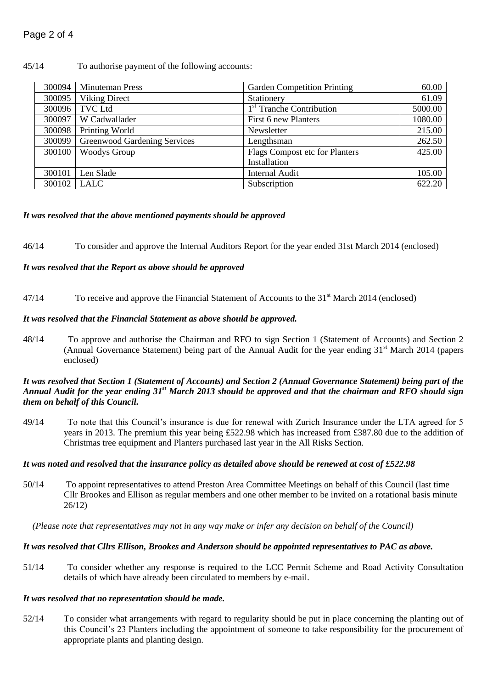## 45/14 To authorise payment of the following accounts:

| 300094 | <b>Minuteman Press</b>       | <b>Garden Competition Printing</b>   | 60.00   |
|--------|------------------------------|--------------------------------------|---------|
| 300095 | <b>Viking Direct</b>         | Stationery                           | 61.09   |
| 300096 | <b>TVC Ltd</b>               | 1 <sup>st</sup> Tranche Contribution | 5000.00 |
| 300097 | W Cadwallader                | First 6 new Planters                 | 1080.00 |
| 300098 | Printing World               | Newsletter                           | 215.00  |
| 300099 | Greenwood Gardening Services | Lengthsman                           | 262.50  |
| 300100 | <b>Woodys Group</b>          | Flags Compost etc for Planters       | 425.00  |
|        |                              | Installation                         |         |
| 300101 | Len Slade                    | <b>Internal Audit</b>                | 105.00  |
| 300102 | LALC                         | Subscription                         | 622.20  |

#### *It was resolved that the above mentioned payments should be approved*

46/14 To consider and approve the Internal Auditors Report for the year ended 31st March 2014 (enclosed)

## *It was resolved that the Report as above should be approved*

47/14 To receive and approve the Financial Statement of Accounts to the 31<sup>st</sup> March 2014 (enclosed)

#### *It was resolved that the Financial Statement as above should be approved.*

48/14 To approve and authorise the Chairman and RFO to sign Section 1 (Statement of Accounts) and Section 2 (Annual Governance Statement) being part of the Annual Audit for the year ending  $31<sup>st</sup>$  March 2014 (papers enclosed)

#### *It was resolved that Section 1 (Statement of Accounts) and Section 2 (Annual Governance Statement) being part of the Annual Audit for the year ending 31st March 2013 should be approved and that the chairman and RFO should sign them on behalf of this Council.*

49/14 To note that this Council's insurance is due for renewal with Zurich Insurance under the LTA agreed for 5 years in 2013. The premium this year being £522.98 which has increased from £387.80 due to the addition of Christmas tree equipment and Planters purchased last year in the All Risks Section.

#### *It was noted and resolved that the insurance policy as detailed above should be renewed at cost of £522.98*

50/14 To appoint representatives to attend Preston Area Committee Meetings on behalf of this Council (last time Cllr Brookes and Ellison as regular members and one other member to be invited on a rotational basis minute 26/12)

*(Please note that representatives may not in any way make or infer any decision on behalf of the Council)*

#### *It was resolved that Cllrs Ellison, Brookes and Anderson should be appointed representatives to PAC as above.*

51/14 To consider whether any response is required to the LCC Permit Scheme and Road Activity Consultation details of which have already been circulated to members by e-mail.

#### *It was resolved that no representation should be made.*

52/14 To consider what arrangements with regard to regularity should be put in place concerning the planting out of this Council's 23 Planters including the appointment of someone to take responsibility for the procurement of appropriate plants and planting design.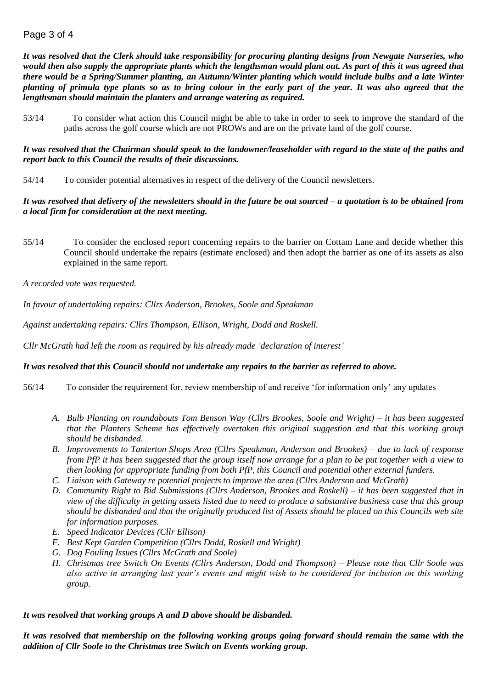# Page 3 of 4

*It was resolved that the Clerk should take responsibility for procuring planting designs from Newgate Nurseries, who would then also supply the appropriate plants which the lengthsman would plant out. As part of this it was agreed that there would be a Spring/Summer planting, an Autumn/Winter planting which would include bulbs and a late Winter planting of primula type plants so as to bring colour in the early part of the year. It was also agreed that the lengthsman should maintain the planters and arrange watering as required.*

53/14 To consider what action this Council might be able to take in order to seek to improve the standard of the paths across the golf course which are not PROWs and are on the private land of the golf course.

*It was resolved that the Chairman should speak to the landowner/leaseholder with regard to the state of the paths and report back to this Council the results of their discussions.*

54/14 To consider potential alternatives in respect of the delivery of the Council newsletters.

# *It was resolved that delivery of the newsletters should in the future be out sourced – a quotation is to be obtained from a local firm for consideration at the next meeting.*

55/14 To consider the enclosed report concerning repairs to the barrier on Cottam Lane and decide whether this Council should undertake the repairs (estimate enclosed) and then adopt the barrier as one of its assets as also explained in the same report.

*A recorded vote was requested.*

*In favour of undertaking repairs: Cllrs Anderson, Brookes, Soole and Speakman*

*Against undertaking repairs: Cllrs Thompson, Ellison, Wright, Dodd and Roskell.*

*Cllr McGrath had left the room as required by his already made 'declaration of interest'*

# *It was resolved that this Council should not undertake any repairs to the barrier as referred to above.*

- 56/14 To consider the requirement for, review membership of and receive 'for information only' any updates
	- *A. Bulb Planting on roundabouts Tom Benson Way (Cllrs Brookes, Soole and Wright) – it has been suggested that the Planters Scheme has effectively overtaken this original suggestion and that this working group should be disbanded.*
	- *B. Improvements to Tanterton Shops Area (Cllrs Speakman, Anderson and Brookes) – due to lack of response from PfP it has been suggested that the group itself now arrange for a plan to be put together with a view to then looking for appropriate funding from both PfP, this Council and potential other external funders.*
	- *C. Liaison with Gateway re potential projects to improve the area (Cllrs Anderson and McGrath)*
	- *D. Community Right to Bid Submissions (Cllrs Anderson, Brookes and Roskell) – it has been suggested that in view of the difficulty in getting assets listed due to need to produce a substantive business case that this group should be disbanded and that the originally produced list of Assets should be placed on this Councils web site for information purposes.*
	- *E. Speed Indicator Devices (Cllr Ellison)*
	- *F. Best Kept Garden Competition (Cllrs Dodd, Roskell and Wright)*
	- *G. Dog Fouling Issues (Cllrs McGrath and Soole)*
	- *H. Christmas tree Switch On Events (Cllrs Anderson, Dodd and Thompson) – Please note that Cllr Soole was also active in arranging last year's events and might wish to be considered for inclusion on this working group.*

# *It was resolved that working groups A and D above should be disbanded.*

*It was resolved that membership on the following working groups going forward should remain the same with the addition of Cllr Soole to the Christmas tree Switch on Events working group.*